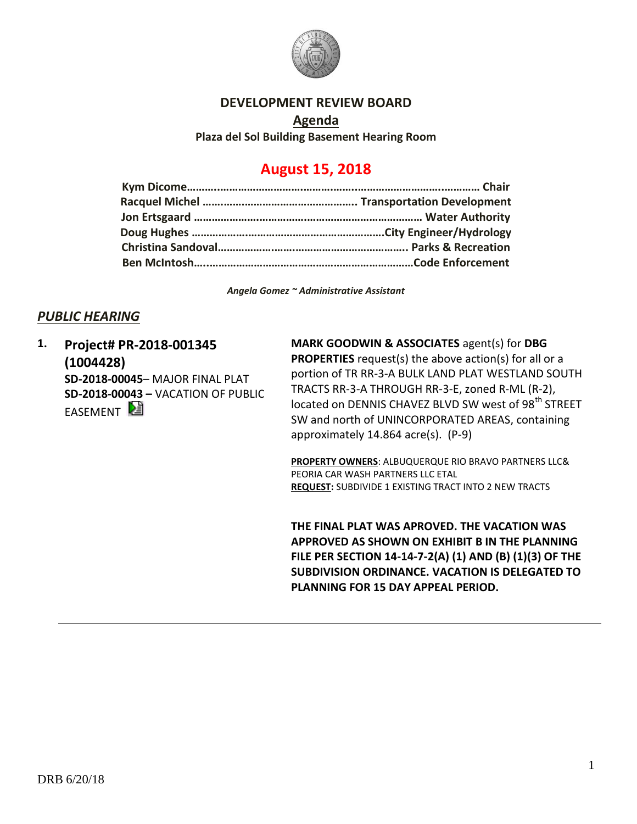

## **DEVELOPMENT REVIEW BOARD**

**Agenda Plaza del Sol Building Basement Hearing Room**

# **August 15, 2018**

*Angela Gomez ~ Administrative Assistant*

## *PUBLIC HEARING*

**1. Project# PR-2018-001345 (1004428) SD-2018-00045**– MAJOR FINAL PLAT **SD-2018-00043 –** VACATION OF PUBLIC EASEMENT

**MARK GOODWIN & ASSOCIATES** agent(s) for **DBG PROPERTIES** request(s) the above action(s) for all or a portion of TR RR-3-A BULK LAND PLAT WESTLAND SOUTH TRACTS RR-3-A THROUGH RR-3-E, zoned R-ML (R-2), located on DENNIS CHAVEZ BLVD SW west of 98<sup>th</sup> STREET SW and north of UNINCORPORATED AREAS, containing approximately 14.864 acre(s). (P-9)

**PROPERTY OWNERS**: ALBUQUERQUE RIO BRAVO PARTNERS LLC& PEORIA CAR WASH PARTNERS LLC ETAL **REQUEST:** SUBDIVIDE 1 EXISTING TRACT INTO 2 NEW TRACTS

**THE FINAL PLAT WAS APROVED. THE VACATION WAS APPROVED AS SHOWN ON EXHIBIT B IN THE PLANNING FILE PER SECTION 14-14-7-2(A) (1) AND (B) (1)(3) OF THE SUBDIVISION ORDINANCE. VACATION IS DELEGATED TO PLANNING FOR 15 DAY APPEAL PERIOD.**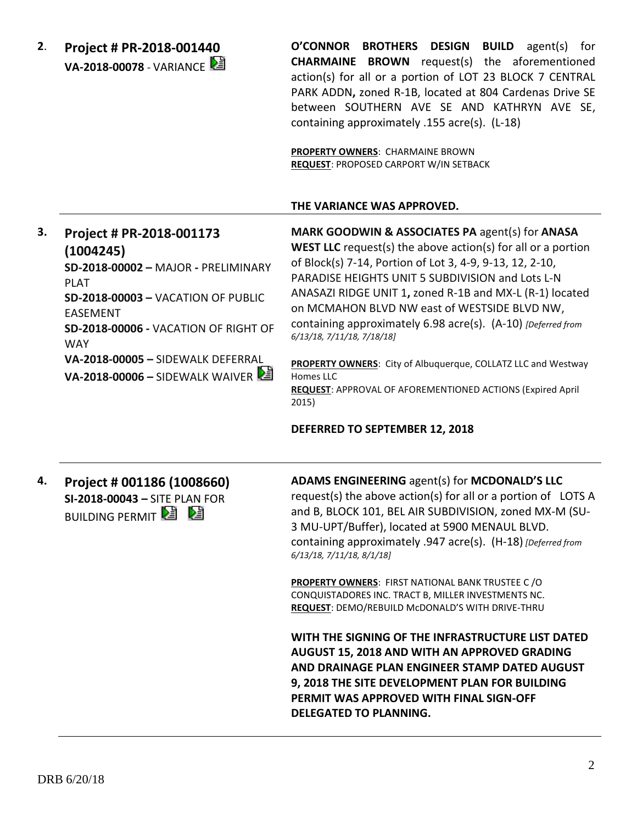**2**. **Project # PR-2018-001440 VA-2018-00078** - VARIANCE **O'CONNOR BROTHERS DESIGN BUILD** agent(s) for **CHARMAINE BROWN** request(s) the aforementioned action(s) for all or a portion of LOT 23 BLOCK 7 CENTRAL PARK ADDN**,** zoned R-1B, located at 804 Cardenas Drive SE between SOUTHERN AVE SE AND KATHRYN AVE SE, containing approximately .155 acre(s). (L-18)

**PROPERTY OWNERS**: CHARMAINE BROWN **REQUEST**: PROPOSED CARPORT W/IN SETBACK

#### **THE VARIANCE WAS APPROVED.**

**3. Project # PR-2018-001173 (1004245) SD-2018-00002 –** MAJOR **-** PRELIMINARY PLAT **SD-2018-00003 –** VACATION OF PUBLIC EASEMENT **SD-2018-00006 -** VACATION OF RIGHT OF WAY **VA-2018-00005 –** SIDEWALK DEFERRAL **VA-2018-00006 –** SIDEWALK WAIVER

**MARK GOODWIN & ASSOCIATES PA** agent(s) for **ANASA WEST LLC** request(s) the above action(s) for all or a portion of Block(s) 7-14, Portion of Lot 3, 4-9, 9-13, 12, 2-10, PARADISE HEIGHTS UNIT 5 SUBDIVISION and Lots L-N ANASAZI RIDGE UNIT 1**,** zoned R-1B and MX-L (R-1) located on MCMAHON BLVD NW east of WESTSIDE BLVD NW, containing approximately 6.98 acre(s). (A-10) *[Deferred from 6/13/18, 7/11/18, 7/18/18]*

**PROPERTY OWNERS**: City of Albuquerque, COLLATZ LLC and Westway Homes LLC **REQUEST**: APPROVAL OF AFOREMENTIONED ACTIONS (Expired April 2015)

#### **DEFERRED TO SEPTEMBER 12, 2018**

**4. Project # 001186 (1008660) SI-2018-00043 –** SITE PLAN FOR **BUILDING PERMIT E E** 

**ADAMS ENGINEERING** agent(s) for **MCDONALD'S LLC** request(s) the above action(s) for all or a portion of LOTS A and B, BLOCK 101, BEL AIR SUBDIVISION, zoned MX-M (SU-3 MU-UPT/Buffer), located at 5900 MENAUL BLVD. containing approximately .947 acre(s). (H-18) *[Deferred from 6/13/18, 7/11/18, 8/1/18]*

**PROPERTY OWNERS**: FIRST NATIONAL BANK TRUSTEE C /O CONQUISTADORES INC. TRACT B, MILLER INVESTMENTS NC. **REQUEST**: DEMO/REBUILD McDONALD'S WITH DRIVE-THRU

**WITH THE SIGNING OF THE INFRASTRUCTURE LIST DATED AUGUST 15, 2018 AND WITH AN APPROVED GRADING AND DRAINAGE PLAN ENGINEER STAMP DATED AUGUST 9, 2018 THE SITE DEVELOPMENT PLAN FOR BUILDING PERMIT WAS APPROVED WITH FINAL SIGN-OFF DELEGATED TO PLANNING.**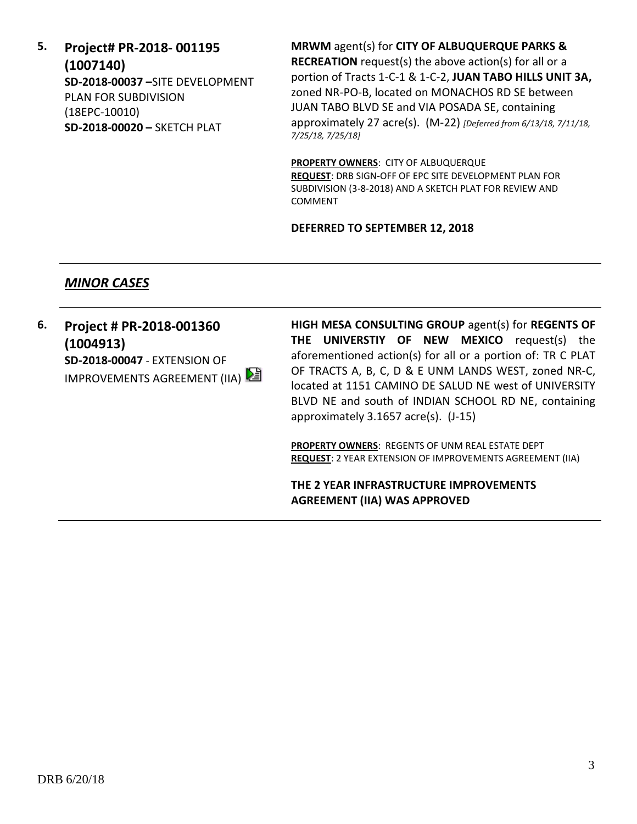**5. Project# PR-2018- 001195 (1007140) SD-2018-00037 –**SITE DEVELOPMENT PLAN FOR SUBDIVISION (18EPC-10010) **SD-2018-00020 –** SKETCH PLAT

**MRWM** agent(s) for **CITY OF ALBUQUERQUE PARKS & RECREATION** request(s) the above action(s) for all or a portion of Tracts 1-C-1 & 1-C-2, **JUAN TABO HILLS UNIT 3A,**  zoned NR-PO-B, located on MONACHOS RD SE between JUAN TABO BLVD SE and VIA POSADA SE, containing approximately 27 acre(s). (M-22) *[Deferred from 6/13/18, 7/11/18, 7/25/18, 7/25/18]*

**PROPERTY OWNERS**: CITY OF ALBUQUERQUE **REQUEST**: DRB SIGN-OFF OF EPC SITE DEVELOPMENT PLAN FOR SUBDIVISION (3-8-2018) AND A SKETCH PLAT FOR REVIEW AND COMMENT

#### **DEFERRED TO SEPTEMBER 12, 2018**

## *MINOR CASES*

**6. Project # PR-2018-001360 (1004913) SD-2018-00047** - EXTENSION OF IMPROVEMENTS AGREEMENT (IIA) **HIGH MESA CONSULTING GROUP** agent(s) for **REGENTS OF THE UNIVERSTIY OF NEW MEXICO** request(s) the aforementioned action(s) for all or a portion of: TR C PLAT OF TRACTS A, B, C, D & E UNM LANDS WEST, zoned NR-C, located at 1151 CAMINO DE SALUD NE west of UNIVERSITY BLVD NE and south of INDIAN SCHOOL RD NE, containing approximately 3.1657 acre(s). (J-15)

**PROPERTY OWNERS**: REGENTS OF UNM REAL ESTATE DEPT **REQUEST**: 2 YEAR EXTENSION OF IMPROVEMENTS AGREEMENT (IIA)

**THE 2 YEAR INFRASTRUCTURE IMPROVEMENTS AGREEMENT (IIA) WAS APPROVED**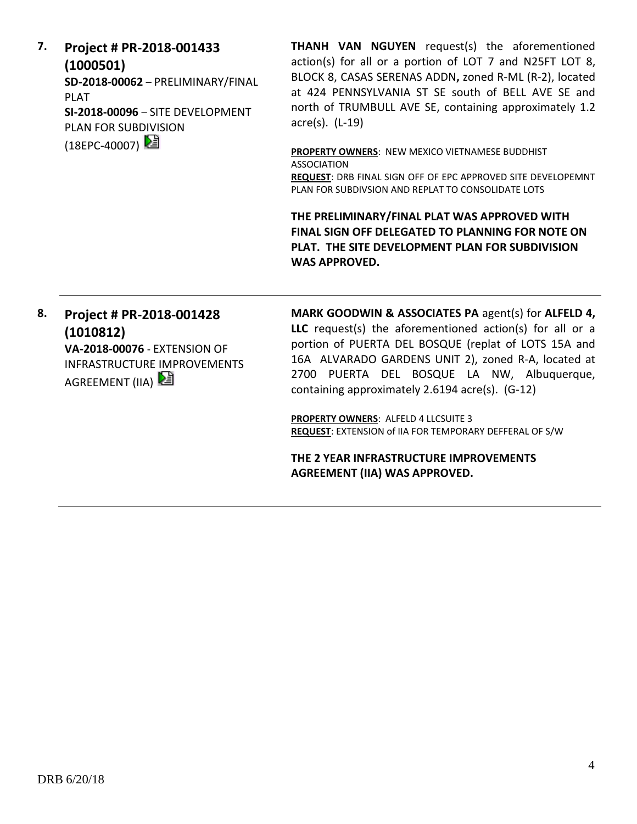**7. Project # PR-2018-001433 (1000501) SD-2018-00062** – PRELIMINARY/FINAL PLAT **SI-2018-00096** – SITE DEVELOPMENT PLAN FOR SUBDIVISION (18EPC-40007) 2

**THANH VAN NGUYEN** request(s) the aforementioned action(s) for all or a portion of LOT 7 and N25FT LOT 8, BLOCK 8, CASAS SERENAS ADDN**,** zoned R-ML (R-2), located at 424 PENNSYLVANIA ST SE south of BELL AVE SE and north of TRUMBULL AVE SE, containing approximately 1.2 acre(s). (L-19)

**PROPERTY OWNERS**: NEW MEXICO VIETNAMESE BUDDHIST ASSOCIATION

**REQUEST**: DRB FINAL SIGN OFF OF EPC APPROVED SITE DEVELOPEMNT PLAN FOR SUBDIVSION AND REPLAT TO CONSOLIDATE LOTS

**THE PRELIMINARY/FINAL PLAT WAS APPROVED WITH FINAL SIGN OFF DELEGATED TO PLANNING FOR NOTE ON PLAT. THE SITE DEVELOPMENT PLAN FOR SUBDIVISION WAS APPROVED.**

## **8. Project # PR-2018-001428 (1010812)**

**VA-2018-00076** - EXTENSION OF INFRASTRUCTURE IMPROVEMENTS AGREEMENT (IIA)

**MARK GOODWIN & ASSOCIATES PA** agent(s) for **ALFELD 4, LLC** request(s) the aforementioned action(s) for all or a portion of PUERTA DEL BOSQUE (replat of LOTS 15A and 16A ALVARADO GARDENS UNIT 2), zoned R-A, located at 2700 PUERTA DEL BOSQUE LA NW, Albuquerque, containing approximately 2.6194 acre(s). (G-12)

**PROPERTY OWNERS**: ALFELD 4 LLCSUITE 3 **REQUEST**: EXTENSION of IIA FOR TEMPORARY DEFFERAL OF S/W

**THE 2 YEAR INFRASTRUCTURE IMPROVEMENTS AGREEMENT (IIA) WAS APPROVED.**